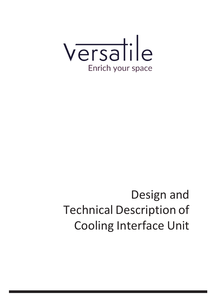

# Design and Technical Description of Cooling Interface Unit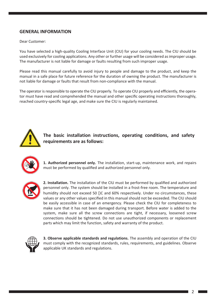# **GENERAL INFORMATION**

Dear Customer:

You have selected a high-quality Cooling Interface Unit (CIU) for your cooling needs. The CIU should be used exclusively for cooling applications. Any other or further usage will be considered asimproper usage. The manufacturer is not liable for damage or faults resulting from such improper usage.

Please read this manual carefully to avoid injury to people and damage to the product, and keep the manual in a safe place for future reference for the duration of owning the product. The manufacturer is not liable for damage or faults that result from non-compliance with the manual.

The operator is responsible to operate the CIU properly. To operate CIU properly and efficiently, the operator must have read and comprehended the manual and other specific operating instructions thoroughly, reached country-specific legal age, and make sure the CIU is regularly maintained.



**The basic installation instructions, operating conditions, and safety requirements are as follows:**



**1. Authorized personnel only.** The installation, start-up, maintenance work, and repairs must be performed by qualified and authorized personnel only.



**2. Installation.** The installation of the CIU must be performed by qualified and authorized personnel only. The system should be installed in a frost-free room. The temperature and humidity should not exceed 50 [)C and 60% respectively. Under no circumstances, these values or any other values specified in this manual should not be exceeded. The CIU should be easily accessible in case of an emergency. Please check the CIU for completeness to make sure that it has not been damaged during transport. Before water is added to the system, make sure all the screw connections are tight, if necessary, loosened screw connections should be tightened. Do not use unauthorized components or replacement parts which may limit the function, safety and warranty of the product.



**3. Observe applicable standards and regulations.** The assembly and operation of the CIU must comply with the recognized standards, rules, requirements, and guidelines. Observe applicable UK standards and regulations.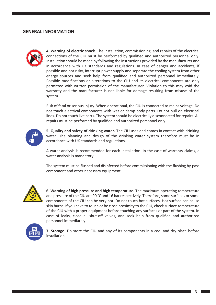#### **GENERAL INFORMATION**



**4. Warning of electric shock.** The installation, commissioning, and repairs of the electrical connections of the CIU must be performed by qualified and authorized personnel only. Installation should be made by following the instructions provided by the manufacturer and in accordance with UK standards and regulations. In case of danger and accidents, if possible and not risky, interrupt power supply and separate the cooling system from other energy sources and seek help from qualified and authorized personnel immediately. Possible modifications or alterations to the CIU and its electrical components are only permitted with written permission of the manufacturer. Violation to this may void the warranty and the manufacturer is not liable for damage resulting from misuse of the system.

Risk of fatal or serious injury. When operational, the CIU is connected to mains voltage. Do not touch electrical components with wet or damp body parts. Do not pull on electrical lines. Do not touch live parts. The system should be electrically disconnected for repairs. All repairs must be performed by qualified and authorized personnel only.



**5. Quality and safety of drinking water.** The CIU uses and comes in contact with drinking water. The planning and design of the drinking water system therefore must be in accordance with UK standards and regulations.

A water analysis is recommended for each installation. In the case of warranty claims, a water analysis is mandatory.

The system must be flushed and disinfected before commissioning with the flushing by-pass component and other necessary equipment.



**6. Warning of high pressure and high temperature.** The maximum operating temperature and pressure of the CIU are 90 °C and 16 bar respectively. Therefore, some surfaces or some components of the CIU can be very hot. Do not touch hot surfaces. Hot surface can cause skin burns. If you have to touch or be close proximity to the CIU, check surface temperature of the CIU with a proper equipment before touching any surfaces or part of the system. In case of leaks, close all shut-off valves, and seek help from qualified and authorized personnel immediately.



**7. Storage.** Do store the CIU and any of its components in a cool and dry place before installation.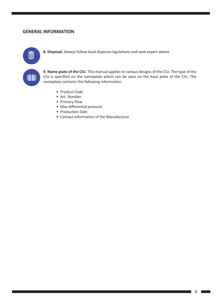#### **GENERAL INFORMATION**



**8. Disposal.** Always follow local disposal regulations and seek expert advice.

**9. Name plate of the CIU.** This manual applies to various designs of the CIU. The type of the CIU is specified on the nameplate which can be seen on the base plate of the CIU. The nameplate contains the following information:

- Product Code
- Art. Number
- Primary Flow
- Max differential pressure
- Production Date
- Contact Information of the Manufacturer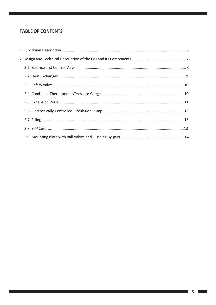# **TABLE OF CONTENTS**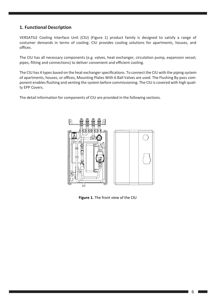#### <span id="page-5-0"></span>**1. Functional Description**

VERSATILE Cooling Interface Unit (CIU) (Figure 1) product family is designed to satisfy a range of costumer demands in terms of cooling. CIU provides cooling solutions for apartments, houses, and offices.

The CIU has all necessary components (e.g. valves, heat exchanger, circulation pump, expansion vessel, pipes, fitting and connections) to deliver convenient and efficient cooling.

The CIU has 4 types based on the heat exchanger specifications. To connect the CIU with the piping system of apartments, houses, or offices, Mounting Plates With 6 Ball Valves are used. The Flushing By-pass component enables flushing and venting the system before commissioning. The CIU is covered with high quality EPP Covers.

The detail information for components of CIU are provided in the following sections.



**Figure 1.** The front view of the CIU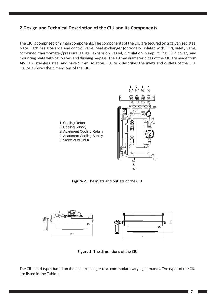# <span id="page-6-0"></span>**2.Design and Technical Description of the CIU and Its Components**

The CIU is comprised of 9 main components. The components of the CIU are secured on a galvanized steel plate. Each has a balance and control valve, heat exchanger (optionally isolated with EPP), safety valve, combined thermometer/pressure gauge, expansion vessel, circulation pump, filling, EPP cover, and mounting plate with ball valves and flushing by-pass. The 18 mm diameter pipes of the CIU are made from AIS 316L stainless steel and have 9 mm isolation. Figure 2 describes the inlets and outlets of the CIU. Figure 3 shows the dimensions of the CIU.

> 1 2 3 4  $\frac{3}{n}$   $\frac{3}{n}$   $\frac{3}{n}$

> > 5 ¾"



1. Cooling Return

- 2. Cooling Supply
- 3. Apartment Cooling Return
- 4. Apartment Cooling Supply
- 5. Safety Valve Drain





**Figure 3.** The dimensions of the CIU

The CIU has 4 types based on the heat exchanger to accommodate varying demands. The types of the CIU are listed in the Table 1.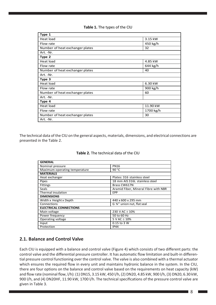#### **Table 1.** The types of the CIU

| Type 1                          |           |
|---------------------------------|-----------|
| Heat load                       | 3.15 kW   |
| Flow rate                       | 450 kg/h  |
| Number of heat exchanger plates | 32        |
| Art. -Nr.                       |           |
| Type 2                          |           |
| Heat load                       | 4.85 kW   |
| Flow rate                       | 644 kg/h  |
| Number of heat exchanger plates | 40        |
| Art. -Nr.                       |           |
| Type 3                          |           |
| Heat load                       | 6.30 kW   |
| Flow rate                       | 900 kg/h  |
| Number of heat exchanger plates | 60        |
| Art. -Nr.                       |           |
| Type 4                          |           |
| Heat load                       | 11.90 kW  |
| Flow rate                       | 1700 kg/h |
| Number of heat exchanger plates | 30        |
| Art. -Nr.                       |           |

The technical data of the CIU on the general aspects, materials, dimensions, and electrical connections are presented in the Table 2.

| <b>GENERAL</b>                |                                      |  |
|-------------------------------|--------------------------------------|--|
| Nominal pressure              | <b>PN16</b>                          |  |
| Maximum operating temperature | 90 $\degree$ C                       |  |
| <b>MATERIALS</b>              |                                      |  |
| Heat exchanger                | Plates: 316 stainless steel          |  |
| Pipes                         | 18 mm AIS 316L stainless steel       |  |
| <b>Fittings</b>               | Brass CW617N                         |  |
| <b>Seals</b>                  | Aramid Fiber, Mineral Fibre with NBR |  |
| <b>Thermal insulation</b>     | <b>EPP</b>                           |  |
| <b>DIMENSIONS</b>             |                                      |  |
| Width x Height x Depth        | 440 x 600 x 295 mm                   |  |
| Connections                   | G 34" union nut, flat seal           |  |
| <b>ELECTRICAL CONNECTIONS</b> |                                      |  |
| Main voltage                  | 230 V AC $\pm$ 10%                   |  |
| Power frequency               | 50 to 60 Hz                          |  |
| Operating voltage             | 5 V AC $\pm$ 10%                     |  |
| Input                         | 0.15 to 3 W                          |  |
| Protection                    | <b>IP44</b>                          |  |

#### **Table 2.** The technical data of the CIU

#### <span id="page-7-0"></span>**2.1. Balance and Control Valve**

Each CIU is equipped with a balance and control valve (Figure 4) which consists of two different parts: the control valve and the differential pressure controller. It has automatic flow limitation and built-in differential pressure control functioning over the control valve. The valve is also combined with a thermal actuator which ensures the required flow in every unit and maintains hydronic balance in the system. In the CIU, there are four options on the balance and control valve based on the requirements on heat capacity (kW) and flow rate (nominal flow, l/h): (1) DN15, 3.15 kW, 450 l/h, (2) DN20, 4.85 kW, 900 l/h, (3) DN20, 6.30 kW, 900 l/h, and (4) DN20HF, 11.90 kW, 1700 l/h. The technical specifications of the pressure control valve are given in Table 3.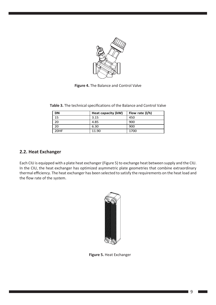

**Figure 4.** The Balance and Control Valve

| DN   | Heat capacity (kW) | Flow rate (I/h) |
|------|--------------------|-----------------|
| 15   | 3.15               | 450             |
| 20   | 4.85               | 900             |
| 20   | 6.30               | 900             |
| 20HF | 11.90              | 1700            |

Table 3. The technical specifications of the Balance and Control Valve

#### <span id="page-8-0"></span>**2.2. Heat Exchanger**

Each CIU is equipped with a plate heat exchanger (Figure 5) to exchange heat between supply and the CIU. In the CIU, the heat exchanger has optimized asymmetric plate geometries that combine extraordinary thermal efficiency. The heat exchanger has been selected to satisfy the requirements on the heat load and the flow rate of the system.



**Figure 5.** Heat Exchanger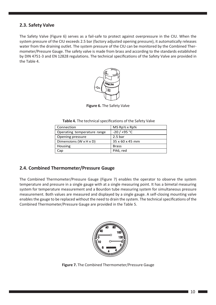# <span id="page-9-0"></span>**2.3. Safety Valve**

The Safety Valve (Figure 6) serves as a fail-safe to protect against overpressure in the CIU. When the system pressure of the CIU exceeds 2.5 bar (factory adjusted opening pressure), it automatically releases water from the draining outlet. The system pressure of the CIU can be monitored by the Combined Thermometer/Pressure Gauge. The safety valve is made from brass and according to the standards established by DIN 4751-3 and EN 12828 regulations. The technical specifications of the Safety Valve are provided in the Table 4.



**Figure 6.** The Safety Valve

| Connection                  | MS $Rp\frac{1}{2} \times Rp\frac{3}{4}$ |
|-----------------------------|-----------------------------------------|
| Operating temperature range | $-20/+95 °C$                            |
| Opening pressure            | 2.5 <sub>bar</sub>                      |
| Dimensions (W x H x D)      | 35 x 60 x 45 mm                         |
| Housing                     | <b>Brass</b>                            |
| Cap                         | PA6, red                                |

**Table 4.** The technical specifications of the Safety Valve

#### <span id="page-9-1"></span>**2.4. Combined Thermometer/Pressure Gauge**

The Combined Thermometer/Pressure Gauge (Figure 7) enables the operator to observe the system temperature and pressure in a single gauge with at a single measuring point. It has a bimetal measuring system for temperature measurement and a Bourdon tube measuring system for simultaneous pressure measurement. Both values are measured and displayed by a single gauge. A self-closing mounting valve enables the gauge to be replaced without the need to drain the system. The technical specifications of the Combined Thermometer/Pressure Gauge are provided in the Table 5.



**Figure 7.** The Combined Thermometer/Pressure Gauge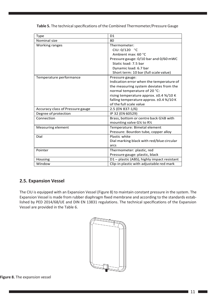| <b>Type</b>                      | D <sub>1</sub>                            |
|----------------------------------|-------------------------------------------|
| Nominal size                     | 80                                        |
| Working ranges                   | Thermometer:<br>CIU: $0/120$ °C           |
|                                  | Ambient max: 60 °C                        |
|                                  | Pressure gauge: 0/10 bar and 0/60 mWC     |
|                                  | Static load: 7.5 bar                      |
|                                  | Dynamic load: 6.7 bar                     |
|                                  | Short term: 10 bar (full scale value)     |
| Temperature performance          | Pressure gauge:                           |
|                                  | Indication error when the temperature of  |
|                                  | the measuring system deviates from the    |
|                                  | normal temperature of 20 °C:              |
|                                  | rising temperature approx. ±0.4 %/10 K    |
|                                  | falling temperature approx. ±0.4 %/10 K   |
|                                  | of the full scale value                   |
| Accuracy class of Pressure gauge | 2.5 (EN 837-1/6)                          |
| Degree of protection             | IP 32 (EN 60529)                          |
| Connection                       | Brass, bottom or centre back G14B with    |
|                                  | mounting valve G1/4 to R1/2               |
| Measuring element                | Temperature: Bimetal element              |
|                                  | Pressure: Bourdon tube, copper alloy      |
| Dial                             | Plastic white                             |
|                                  | Dial marking black with red/blue circular |
|                                  | arcs                                      |
| Pointer                          | Thermometer: plastic, red                 |
|                                  | Pressure gauge: plastic, black            |
| Housing                          | D1-plastic (ABS), highly impact resistant |
| Window                           | Clip-in plastic with adjustable red mark  |

Table 5. The technical specifications of the Combined Thermometer/Pressure Gauge

# <span id="page-10-0"></span>**2.5. Expansion Vessel**

The CIU is equipped with an Expansion Vessel (Figure 8) to maintain constant pressure in the system. The Expansion Vessel is made from rubber diaphragm fixed membrane and according to the standards established by PED 2014/68/UE and DIN EN 13831 regulations. The technical specifications of the Expansion Vessel are provided in the Table 6.



**Figure 8.** The expansion vessel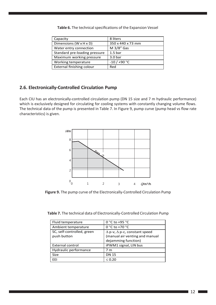| Capacity                      | 8 liters           |
|-------------------------------|--------------------|
| Dimensions (W x H x D)        | 350 x 440 x 73 mm  |
| Water entry connection        | M $3/8$ " Gas      |
| Standard pre-loading pressure | 1.5 <sub>bar</sub> |
| Maximum working pressure      | 3.0 <sub>bar</sub> |
| Working temperature           | $-10/+90 °C$       |
| External finishing colour     | Red                |

Table 6. The technical specifications of the Expansion Vessel

# <span id="page-11-0"></span>**2.6. Electronically-Controlled Circulation Pump**

Each CIU has an electronically-controlled circulation pump (DN 15 size and 7 m hydraulic performance) which is exclusively designed for circulating for cooling systems with constantly changing volume flows. The technical data of the pump is presented in Table 7. In Figure 9, pump curve (pump head vs flow rate characteristics) is given.



**Figure 9.** The pump curve of the Electronically-Controlled Circulation Pump

**Table 7.** The technical data of Electronically-Controlled Circulation Pump

| Fluid temperature                         | 0 °C to +95 °C                                                                                      |
|-------------------------------------------|-----------------------------------------------------------------------------------------------------|
| Ambient temperature                       | 0 °C to +70 °C                                                                                      |
| SC, self-controlled, green<br>push button | $\Delta$ p-v, $\Delta$ p-c, constant speed<br>(manual air venting and manual<br>dejamming function) |
| <b>External control</b>                   | iPWM1 signal, LIN bus                                                                               |
| Hydraulic performance                     | 7 m                                                                                                 |
| <b>Size</b>                               | <b>DN 15</b>                                                                                        |
| FFI                                       | $\leq 0.20$                                                                                         |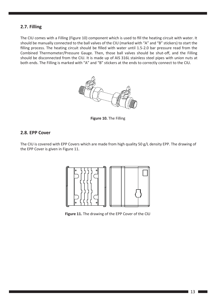## <span id="page-12-0"></span>**2.7. Filling**

The CIU comes with a Filling (Figure 10) component which is used to fill the heating circuit with water. It should be manually connected to the ball valves of the CIU (marked with "A" and "B" stickers) to start the filling process. The heating circuit should be filled with water until 1.5-2.0 bar pressure read from the Combined Thermometer/Pressure Gauge. Then, those ball valves should be shut-off, and the Filling should be disconnected from the CIU. It is made up of AIS 316L stainless steel pipes with union nuts at both ends. The Filling is marked with "A" and "B" stickers at the ends to correctly connect to the CIU.



**Figure 10.** The Filling

#### <span id="page-12-1"></span>**2.8. EPP Cover**

The CIU is covered with EPP Covers which are made from high quality 50 g/L density EPP. The drawing of the EPP Cover is given in Figure 11.



**Figure 11.** The drawing of the EPP Cover of the CIU